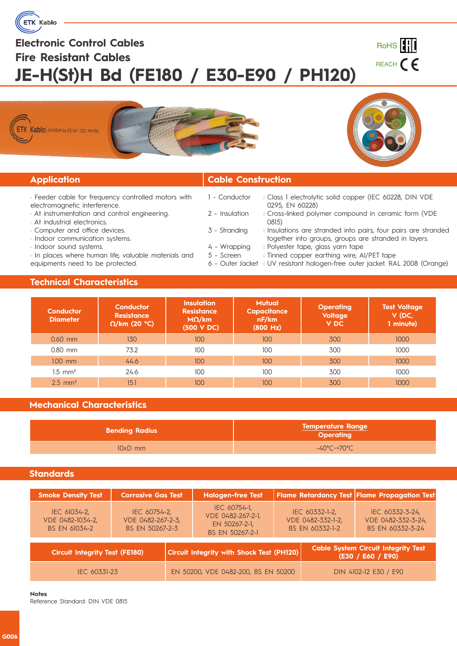

# **Electronic Control Cables Fire Resistant Cables JE-H(St)H Bd (FE180 / E30-E90 / PH120)**









### **Application Cable Construction**

- · Feeder cable for frequency controlled motors with electromagnetic interference.
- · At instrumentation and control engineering.
- · At industrial electronics.
- · Computer and office devices.
- · Indoor communication systems.
- · Indoor sound systems.

· In places where human life, valuable materials and equipments need to be protected.

- 1 Conductor : Class 1 electrolytic solid copper (IEC 60228, DIN VDE 0295, EN 60228)
- 2 Insulation : Cross-linked polymer compound in ceramic form (VDE 0815)
- 3 Stranding : : Insulations are stranded into pairs, four pairs are stranded together into groups, groups are stranded in layers. Polyester tape, glass yarn tape
- 4 Wrapping : 5 - Screen : : Tinned copper earthing wire, AI/PET tape
- 6 Outer Jacket : UV resistant halogen-free outer jacket. RAL 2008 (Orange)

#### **Technical Characteristics**

| <b>Conductor</b><br><b>Diameter</b> | Conductor<br><b>Resistance</b><br>$\Omega$ /km (20 °C) | <b>Insulation</b><br><b>Resistance</b><br>$M\Omega/km$<br>(500 V DC) | <b>Mutual</b><br>Capacitance<br>nF/km<br>(800 Hz) | <b>Operating</b><br><b>Voltage</b><br><b>VDC</b> | <b>Test Voltage</b><br>V (DC,<br>1 minute) |
|-------------------------------------|--------------------------------------------------------|----------------------------------------------------------------------|---------------------------------------------------|--------------------------------------------------|--------------------------------------------|
| $0.60$ mm                           | 130                                                    | 100                                                                  | 100                                               | 300                                              | 1000                                       |
| $0.80$ mm                           | 73.2                                                   | 100                                                                  | 100                                               | 300                                              | 1000                                       |
| $1.00$ mm                           | 44.6                                                   | 100                                                                  | 100                                               | 300                                              | 1000                                       |
| $1.5$ mm <sup>2</sup>               | 24.6                                                   | 100                                                                  | 100                                               | 300                                              | 1000                                       |
| $2.5$ mm <sup>2</sup>               | 15.1                                                   | 100                                                                  | 100                                               | 300                                              | 1000                                       |

### **Mechanical Characteristics**

| <b>Bending Radius</b> | <b>Temperature Range</b><br><b>Operating</b> |  |  |
|-----------------------|----------------------------------------------|--|--|
| $10xD$ mm             | $-40^{\circ}$ C~+70 $^{\circ}$ C             |  |  |

#### **Standards**

| <b>Smoke Density Test</b>                         | <b>Corrosive Gas Test</b>                            |  | <b>Halogen-free Test</b>                                              |                                                        |                                                                 | Flame Retardancy Test Flame Propagation Test              |  |
|---------------------------------------------------|------------------------------------------------------|--|-----------------------------------------------------------------------|--------------------------------------------------------|-----------------------------------------------------------------|-----------------------------------------------------------|--|
| IEC 61034-2,<br>VDE 0482-1034-2,<br>BS EN 61034-2 | IEC 60754-2,<br>VDE 0482-267-2-3,<br>BS EN 50267-2-3 |  | IEC 60754-1,<br>VDE 0482-267-2-1,<br>EN 50267-2-1,<br>BS EN 50267-2-1 | IEC 60332-1-2,<br>VDE 0482-332-1-2,<br>BS EN 60332-1-2 |                                                                 | IEC 60332-3-24,<br>VDE 0482-332-3-24,<br>BS EN 60332-3-24 |  |
| <b>Circuit Integrity Test (FE180)</b>             |                                                      |  | <b>Circuit Integrity with Shock Test (PH120)</b>                      |                                                        | <b>Cable System Circuit Integrity Test</b><br>(E30 / E60 / E90) |                                                           |  |
| IEC 60331-23                                      |                                                      |  | EN 50200, VDE 0482-200, BS EN 50200                                   |                                                        | DIN 4102-12 E30 / E90                                           |                                                           |  |

#### **Notes**

Reference Standard: DIN VDE 0815